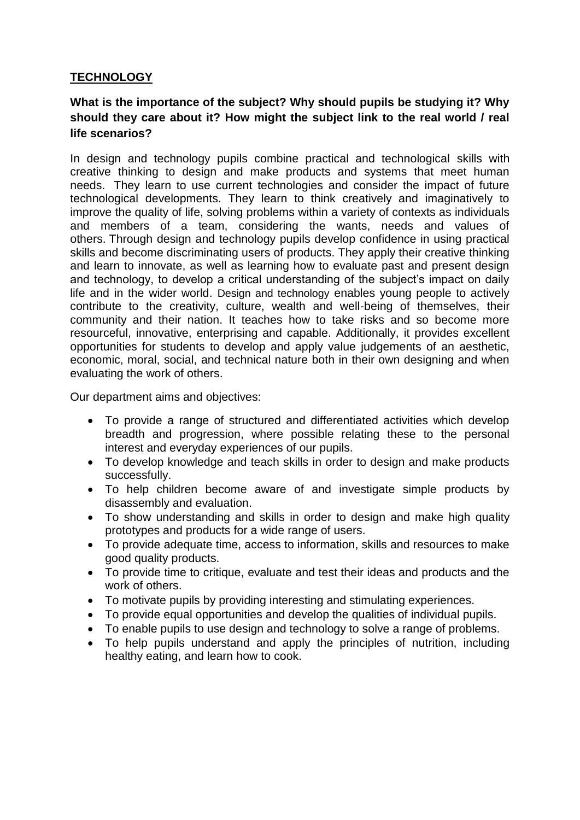## **TECHNOLOGY**

# **What is the importance of the subject? Why should pupils be studying it? Why should they care about it? How might the subject link to the real world / real life scenarios?**

In design and technology pupils combine practical and technological skills with creative thinking to design and make products and systems that meet human needs. They learn to use current technologies and consider the impact of future technological developments. They learn to think creatively and imaginatively to improve the quality of life, solving problems within a variety of contexts as individuals and members of a team, considering the wants, needs and values of others. Through design and technology pupils develop confidence in using practical skills and become discriminating users of products. They apply their creative thinking and learn to innovate, as well as learning how to evaluate past and present design and technology, to develop a critical understanding of the subject's impact on daily life and in the wider world. Design and technology enables young people to actively contribute to the creativity, culture, wealth and well-being of themselves, their community and their nation. It teaches how to take risks and so become more resourceful, innovative, enterprising and capable. Additionally, it provides excellent opportunities for students to develop and apply value judgements of an aesthetic, economic, moral, social, and technical nature both in their own designing and when evaluating the work of others.

Our department aims and objectives:

- To provide a range of structured and differentiated activities which develop breadth and progression, where possible relating these to the personal interest and everyday experiences of our pupils.
- To develop knowledge and teach skills in order to design and make products successfully.
- To help children become aware of and investigate simple products by disassembly and evaluation.
- To show understanding and skills in order to design and make high quality prototypes and products for a wide range of users.
- To provide adequate time, access to information, skills and resources to make good quality products.
- To provide time to critique, evaluate and test their ideas and products and the work of others.
- To motivate pupils by providing interesting and stimulating experiences.
- To provide equal opportunities and develop the qualities of individual pupils.
- To enable pupils to use design and technology to solve a range of problems.
- To help pupils understand and apply the principles of nutrition, including healthy eating, and learn how to cook.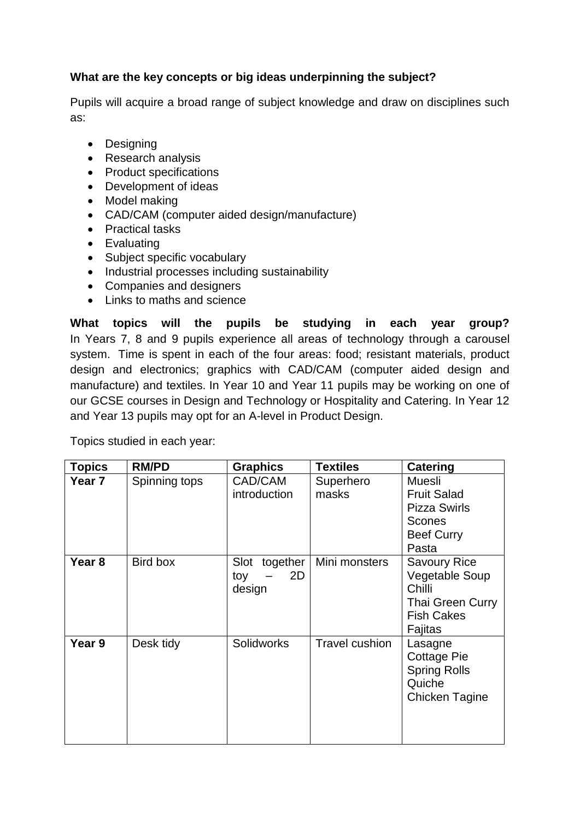# **What are the key concepts or big ideas underpinning the subject?**

Pupils will acquire a broad range of subject knowledge and draw on disciplines such as:

- Designing
- Research analysis
- Product specifications
- Development of ideas
- Model making
- CAD/CAM (computer aided design/manufacture)
- Practical tasks
- Evaluating
- Subject specific vocabulary
- Industrial processes including sustainability
- Companies and designers
- Links to maths and science

**What topics will the pupils be studying in each year group?** In Years 7, 8 and 9 pupils experience all areas of technology through a carousel system. Time is spent in each of the four areas: food; resistant materials, product design and electronics; graphics with CAD/CAM (computer aided design and manufacture) and textiles. In Year 10 and Year 11 pupils may be working on one of our GCSE courses in Design and Technology or Hospitality and Catering. In Year 12 and Year 13 pupils may opt for an A-level in Product Design.

Topics studied in each year:

| <b>Topics</b>     | <b>RM/PD</b>  | <b>Graphics</b>                         | <b>Textiles</b>       | Catering                                                                                                          |
|-------------------|---------------|-----------------------------------------|-----------------------|-------------------------------------------------------------------------------------------------------------------|
| Year 7            | Spinning tops | CAD/CAM<br>introduction                 | Superhero<br>masks    | <b>Muesli</b><br><b>Fruit Salad</b><br><b>Pizza Swirls</b><br><b>Scones</b><br><b>Beef Curry</b><br>Pasta         |
| Year <sub>8</sub> | Bird box      | together<br>Slot<br>2D<br>toy<br>design | Mini monsters         | <b>Savoury Rice</b><br><b>Vegetable Soup</b><br>Chilli<br><b>Thai Green Curry</b><br><b>Fish Cakes</b><br>Fajitas |
| Year 9            | Desk tidy     | <b>Solidworks</b>                       | <b>Travel cushion</b> | Lasagne<br><b>Cottage Pie</b><br><b>Spring Rolls</b><br>Quiche<br><b>Chicken Tagine</b>                           |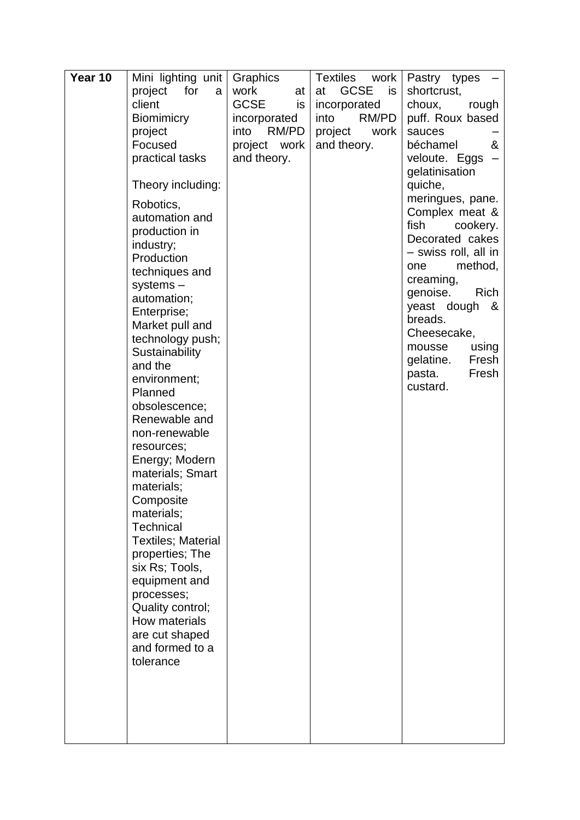| Year 10 | Mini lighting unit        | Graphics          | <b>Textiles</b><br>work | Pastry types                |
|---------|---------------------------|-------------------|-------------------------|-----------------------------|
|         | project<br>for<br>a       | work<br>at        | <b>GCSE</b><br>at<br>is | shortcrust,                 |
|         | client                    | <b>GCSE</b><br>is | incorporated            | choux,<br>rough             |
|         | <b>Biomimicry</b>         | incorporated      | RM/PD<br>into           | puff. Roux based            |
|         | project                   | RM/PD<br>into     | project<br>work         | sauces                      |
|         | Focused                   | work<br>project   | and theory.             | &<br>béchamel               |
|         | practical tasks           | and theory.       |                         | veloute. Eggs               |
|         |                           |                   |                         | gelatinisation              |
|         | Theory including:         |                   |                         | quiche,                     |
|         | Robotics,                 |                   |                         | meringues, pane.            |
|         | automation and            |                   |                         | Complex meat &<br>fish      |
|         | production in             |                   |                         | cookery.<br>Decorated cakes |
|         | industry;                 |                   |                         | - swiss roll, all in        |
|         | Production                |                   |                         | method,<br>one              |
|         | techniques and            |                   |                         | creaming,                   |
|         | $systems -$               |                   |                         | <b>Rich</b><br>genoise.     |
|         | automation;               |                   |                         | yeast dough<br>&            |
|         | Enterprise;               |                   |                         | breads.                     |
|         | Market pull and           |                   |                         | Cheesecake,                 |
|         | technology push;          |                   |                         | mousse<br>using             |
|         | Sustainability<br>and the |                   |                         | gelatine.<br>Fresh          |
|         | environment;              |                   |                         | Fresh<br>pasta.             |
|         | Planned                   |                   |                         | custard.                    |
|         | obsolescence;             |                   |                         |                             |
|         | Renewable and             |                   |                         |                             |
|         | non-renewable             |                   |                         |                             |
|         | resources;                |                   |                         |                             |
|         | Energy; Modern            |                   |                         |                             |
|         | materials; Smart          |                   |                         |                             |
|         | materials;                |                   |                         |                             |
|         | Composite                 |                   |                         |                             |
|         | materials;                |                   |                         |                             |
|         | <b>Technical</b>          |                   |                         |                             |
|         | <b>Textiles; Material</b> |                   |                         |                             |
|         | properties; The           |                   |                         |                             |
|         | six Rs; Tools,            |                   |                         |                             |
|         | equipment and             |                   |                         |                             |
|         | processes;                |                   |                         |                             |
|         | Quality control;          |                   |                         |                             |
|         | How materials             |                   |                         |                             |
|         | are cut shaped            |                   |                         |                             |
|         | and formed to a           |                   |                         |                             |
|         | tolerance                 |                   |                         |                             |
|         |                           |                   |                         |                             |
|         |                           |                   |                         |                             |
|         |                           |                   |                         |                             |
|         |                           |                   |                         |                             |
|         |                           |                   |                         |                             |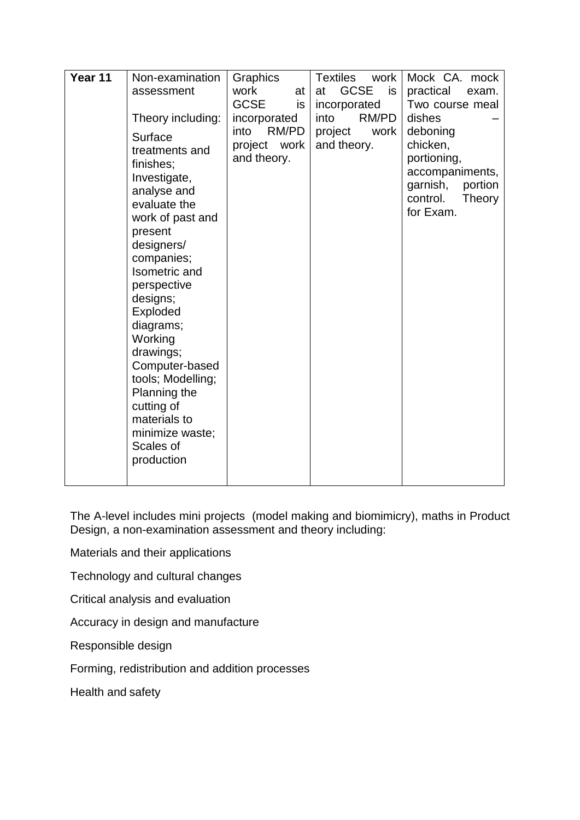| Year 11 | Non-examination                                                                                                                                                                                                                                                                                                                                                                  | Graphics                                     | Textiles<br>work               | Mock CA. mock                                                                                                    |
|---------|----------------------------------------------------------------------------------------------------------------------------------------------------------------------------------------------------------------------------------------------------------------------------------------------------------------------------------------------------------------------------------|----------------------------------------------|--------------------------------|------------------------------------------------------------------------------------------------------------------|
|         | assessment                                                                                                                                                                                                                                                                                                                                                                       | work<br>at                                   | <b>GCSE</b><br>is<br>at        | practical<br>exam.                                                                                               |
|         |                                                                                                                                                                                                                                                                                                                                                                                  | <b>GCSE</b><br>is                            | incorporated                   | Two course meal                                                                                                  |
|         | Theory including:                                                                                                                                                                                                                                                                                                                                                                | incorporated                                 | RM/PD<br>into                  | dishes                                                                                                           |
|         | Surface<br>treatments and<br>finishes;<br>Investigate,<br>analyse and<br>evaluate the<br>work of past and<br>present<br>designers/<br>companies;<br>Isometric and<br>perspective<br>designs;<br>Exploded<br>diagrams;<br>Working<br>drawings;<br>Computer-based<br>tools; Modelling;<br>Planning the<br>cutting of<br>materials to<br>minimize waste;<br>Scales of<br>production | into<br>RM/PD<br>project work<br>and theory. | project<br>work<br>and theory. | deboning<br>chicken,<br>portioning,<br>accompaniments,<br>garnish,<br>portion<br>control.<br>Theory<br>for Exam. |

The A-level includes mini projects (model making and biomimicry), maths in Product Design, a non-examination assessment and theory including:

Materials and their applications

Technology and cultural changes

Critical analysis and evaluation

Accuracy in design and manufacture

Responsible design

Forming, redistribution and addition processes

Health and safety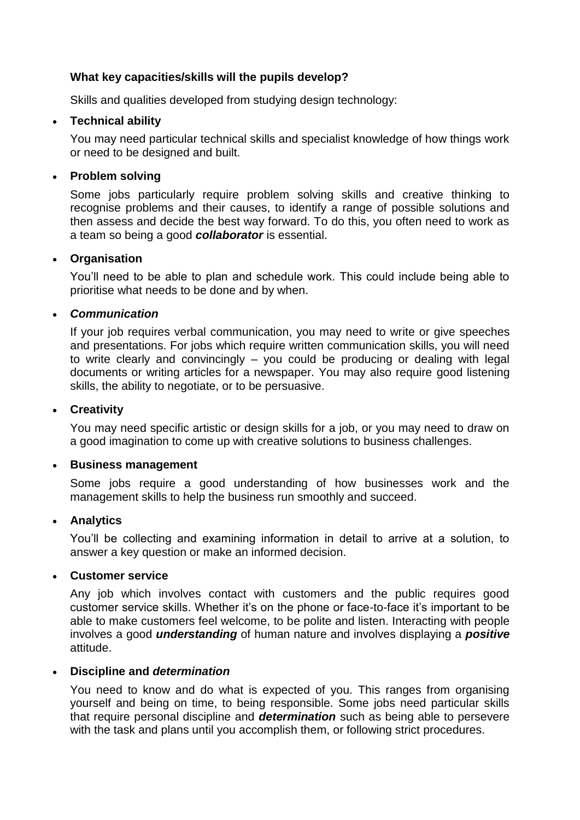#### **What key capacities/skills will the pupils develop?**

Skills and qualities developed from studying design technology:

### • **Technical ability**

You may need particular technical skills and specialist knowledge of how things work or need to be designed and built.

### • **Problem solving**

Some jobs particularly require problem solving skills and creative thinking to recognise problems and their causes, to identify a range of possible solutions and then assess and decide the best way forward. To do this, you often need to work as a team so being a good *collaborator* is essential.

#### • **Organisation**

You'll need to be able to plan and schedule work. This could include being able to prioritise what needs to be done and by when.

### • *Communication*

If your job requires verbal communication, you may need to write or give speeches and presentations. For jobs which require written communication skills, you will need to write clearly and convincingly – you could be producing or dealing with legal documents or writing articles for a newspaper. You may also require good listening skills, the ability to negotiate, or to be persuasive.

#### • **Creativity**

You may need specific artistic or design skills for a job, or you may need to draw on a good imagination to come up with creative solutions to business challenges.

#### • **Business management**

Some jobs require a good understanding of how businesses work and the management skills to help the business run smoothly and succeed.

#### • **Analytics**

You'll be collecting and examining information in detail to arrive at a solution, to answer a key question or make an informed decision.

#### • **Customer service**

Any job which involves contact with customers and the public requires good customer service skills. Whether it's on the phone or face-to-face it's important to be able to make customers feel welcome, to be polite and listen. Interacting with people involves a good *understanding* of human nature and involves displaying a *positive*  attitude.

#### • **Discipline and** *determination*

You need to know and do what is expected of you. This ranges from organising yourself and being on time, to being responsible. Some jobs need particular skills that require personal discipline and *determination* such as being able to persevere with the task and plans until you accomplish them, or following strict procedures.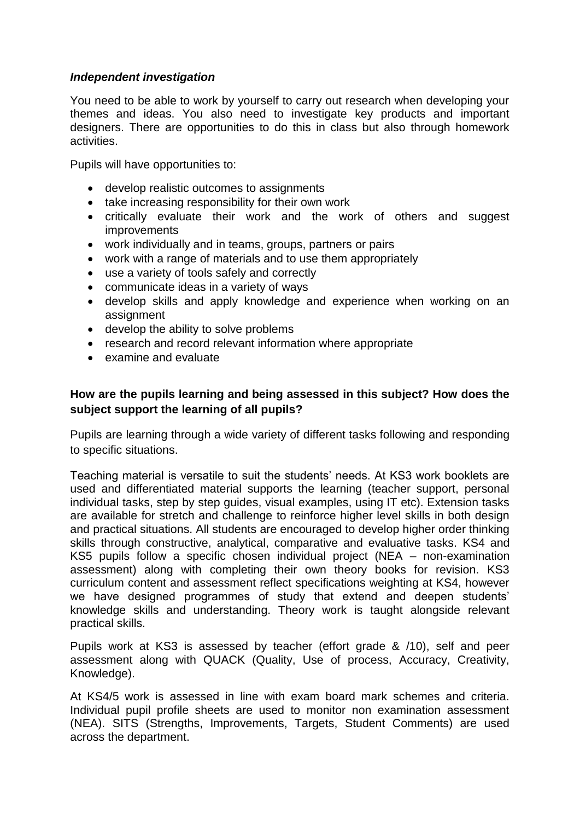#### *Independent investigation*

You need to be able to work by yourself to carry out research when developing your themes and ideas. You also need to investigate key products and important designers. There are opportunities to do this in class but also through homework activities.

Pupils will have opportunities to:

- develop realistic outcomes to assignments
- take increasing responsibility for their own work
- critically evaluate their work and the work of others and suggest **improvements**
- work individually and in teams, groups, partners or pairs
- work with a range of materials and to use them appropriately
- use a variety of tools safely and correctly
- communicate ideas in a variety of ways
- develop skills and apply knowledge and experience when working on an assignment
- develop the ability to solve problems
- research and record relevant information where appropriate
- examine and evaluate

## **How are the pupils learning and being assessed in this subject? How does the subject support the learning of all pupils?**

Pupils are learning through a wide variety of different tasks following and responding to specific situations.

Teaching material is versatile to suit the students' needs. At KS3 work booklets are used and differentiated material supports the learning (teacher support, personal individual tasks, step by step guides, visual examples, using IT etc). Extension tasks are available for stretch and challenge to reinforce higher level skills in both design and practical situations. All students are encouraged to develop higher order thinking skills through constructive, analytical, comparative and evaluative tasks. KS4 and KS5 pupils follow a specific chosen individual project (NEA – non-examination assessment) along with completing their own theory books for revision. KS3 curriculum content and assessment reflect specifications weighting at KS4, however we have designed programmes of study that extend and deepen students' knowledge skills and understanding. Theory work is taught alongside relevant practical skills.

Pupils work at KS3 is assessed by teacher (effort grade & /10), self and peer assessment along with QUACK (Quality, Use of process, Accuracy, Creativity, Knowledge).

At KS4/5 work is assessed in line with exam board mark schemes and criteria. Individual pupil profile sheets are used to monitor non examination assessment (NEA). SITS (Strengths, Improvements, Targets, Student Comments) are used across the department.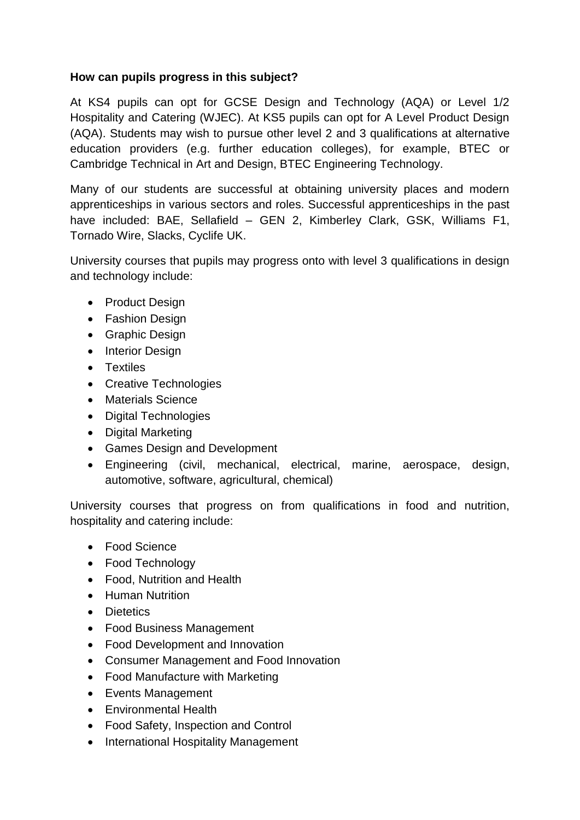## **How can pupils progress in this subject?**

At KS4 pupils can opt for GCSE Design and Technology (AQA) or Level 1/2 Hospitality and Catering (WJEC). At KS5 pupils can opt for A Level Product Design (AQA). Students may wish to pursue other level 2 and 3 qualifications at alternative education providers (e.g. further education colleges), for example, BTEC or Cambridge Technical in Art and Design, BTEC Engineering Technology.

Many of our students are successful at obtaining university places and modern apprenticeships in various sectors and roles. Successful apprenticeships in the past have included: BAE, Sellafield - GEN 2, Kimberley Clark, GSK, Williams F1, Tornado Wire, Slacks, Cyclife UK.

University courses that pupils may progress onto with level 3 qualifications in design and technology include:

- Product Design
- Fashion Design
- Graphic Design
- Interior Design
- Textiles
- Creative Technologies
- Materials Science
- Digital Technologies
- Digital Marketing
- Games Design and Development
- Engineering (civil, mechanical, electrical, marine, aerospace, design, automotive, software, agricultural, chemical)

University courses that progress on from qualifications in food and nutrition, hospitality and catering include:

- Food Science
- Food Technology
- Food, Nutrition and Health
- Human Nutrition
- Dietetics
- Food Business Management
- Food Development and Innovation
- Consumer Management and Food Innovation
- Food Manufacture with Marketing
- Events Management
- Environmental Health
- Food Safety, Inspection and Control
- International Hospitality Management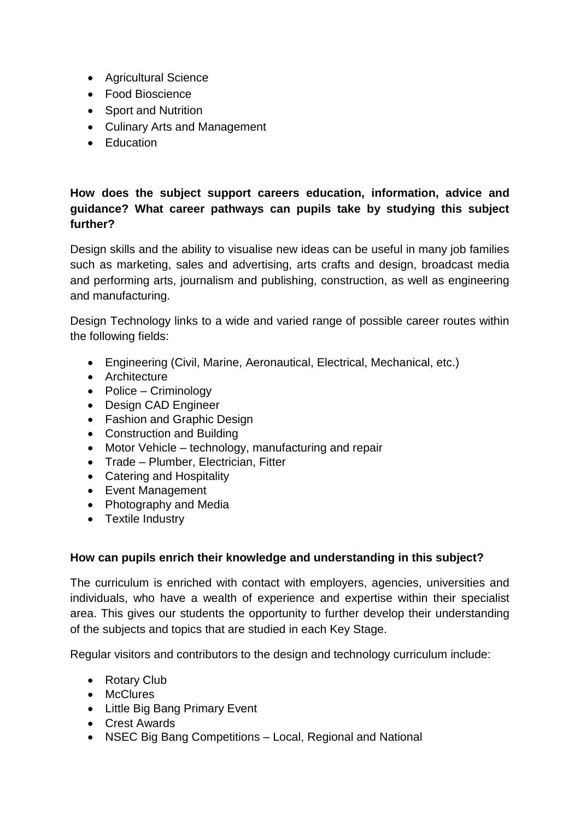- Agricultural Science
- Food Bioscience
- Sport and Nutrition
- Culinary Arts and Management
- Education

# **How does the subject support careers education, information, advice and guidance? What career pathways can pupils take by studying this subject further?**

Design skills and the ability to visualise new ideas can be useful in many job families such as marketing, sales and advertising, arts crafts and design, broadcast media and performing arts, journalism and publishing, construction, as well as engineering and manufacturing.

Design Technology links to a wide and varied range of possible career routes within the following fields:

- Engineering (Civil, Marine, Aeronautical, Electrical, Mechanical, etc.)
- Architecture
- Police Criminology
- Design CAD Engineer
- Fashion and Graphic Design
- Construction and Building
- Motor Vehicle technology, manufacturing and repair
- Trade Plumber, Electrician, Fitter
- Catering and Hospitality
- Event Management
- Photography and Media
- Textile Industry

# **How can pupils enrich their knowledge and understanding in this subject?**

The curriculum is enriched with contact with employers, agencies, universities and individuals, who have a wealth of experience and expertise within their specialist area. This gives our students the opportunity to further develop their understanding of the subjects and topics that are studied in each Key Stage.

Regular visitors and contributors to the design and technology curriculum include:

- Rotary Club
- McClures
- Little Big Bang Primary Event
- Crest Awards
- NSEC Big Bang Competitions Local, Regional and National